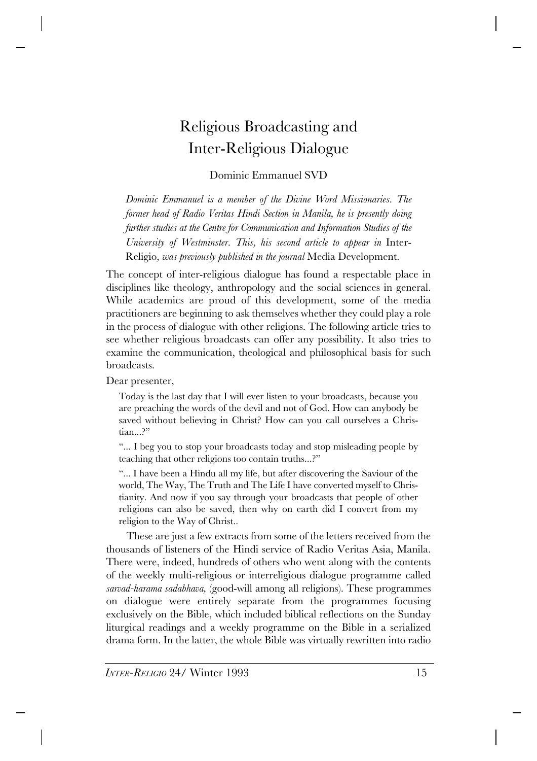# Religious Broadcasting and Inter-Religious Dialogue

Dominic Emmanuel SVD

*Dominic Emmanuel is a member of the Divine Word Missionaries. The former head of Radio Veritas Hindi Section in Manila, he is presently doing further studies at the Centre for Communication and Information Studies of the University of Westminster. This, his second article to appear in* Inter-Religio*, was previously published in the journal* Media Development*.*

The concept of inter-religious dialogue has found a respectable place in disciplines like theology, anthropology and the social sciences in general. While academics are proud of this development, some of the media practitioners are beginning to ask themselves whether they could play a role in the process of dialogue with other religions. The following article tries to see whether religious broadcasts can offer any possibility. It also tries to examine the communication, theological and philosophical basis for such broadcasts.

Dear presenter,

Today is the last day that I will ever listen to your broadcasts, because you are preaching the words of the devil and not of God. How can anybody be saved without believing in Christ? How can you call ourselves a Christian...?"

"... I beg you to stop your broadcasts today and stop misleading people by teaching that other religions too contain truths...?"

"... I have been a Hindu all my life, but after discovering the Saviour of the world, The Way, The Truth and The Life I have converted myself to Christianity. And now if you say through your broadcasts that people of other religions can also be saved, then why on earth did I convert from my religion to the Way of Christ..

These are just a few extracts from some of the letters received from the thousands of listeners of the Hindi service of Radio Veritas Asia, Manila. There were, indeed, hundreds of others who went along with the contents of the weekly multi-religious or interreligious dialogue programme called *sarvad-harama sadabhava,* (good-will among all religions). These programmes on dialogue were entirely separate from the programmes focusing exclusively on the Bible, which included biblical reflections on the Sunday liturgical readings and a weekly programme on the Bible in a serialized drama form. In the latter, the whole Bible was virtually rewritten into radio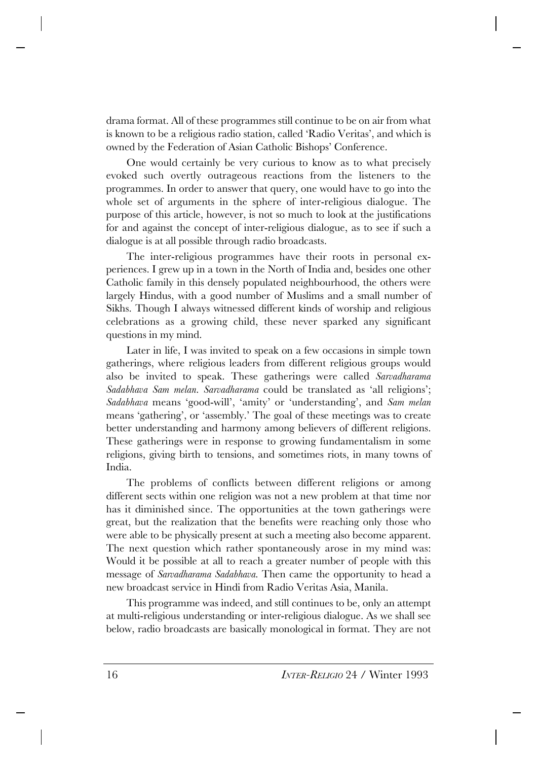drama format. All of these programmes still continue to be on air from what is known to be a religious radio station, called 'Radio Veritas', and which is owned by the Federation of Asian Catholic Bishops' Conference.

One would certainly be very curious to know as to what precisely evoked such overtly outrageous reactions from the listeners to the programmes. In order to answer that query, one would have to go into the whole set of arguments in the sphere of inter-religious dialogue. The purpose of this article, however, is not so much to look at the justifications for and against the concept of inter-religious dialogue, as to see if such a dialogue is at all possible through radio broadcasts.

The inter-religious programmes have their roots in personal experiences. I grew up in a town in the North of India and, besides one other Catholic family in this densely populated neighbourhood, the others were largely Hindus, with a good number of Muslims and a small number of Sikhs. Though I always witnessed different kinds of worship and religious celebrations as a growing child, these never sparked any significant questions in my mind.

Later in life, I was invited to speak on a few occasions in simple town gatherings, where religious leaders from different religious groups would also be invited to speak. These gatherings were called *Sarvadharama Sadabhava Sam melan. Sarvadharama* could be translated as 'all religions'; *Sadabhava* means 'good-will', 'amity' or 'understanding', and *Sam melan* means 'gathering', or 'assembly.' The goal of these meetings was to create better understanding and harmony among believers of different religions. These gatherings were in response to growing fundamentalism in some religions, giving birth to tensions, and sometimes riots, in many towns of India.

The problems of conflicts between different religions or among different sects within one religion was not a new problem at that time nor has it diminished since. The opportunities at the town gatherings were great, but the realization that the benefits were reaching only those who were able to be physically present at such a meeting also become apparent. The next question which rather spontaneously arose in my mind was: Would it be possible at all to reach a greater number of people with this message of *Sarvadharama Sadabhava.* Then came the opportunity to head a new broadcast service in Hindi from Radio Veritas Asia, Manila.

This programme was indeed, and still continues to be, only an attempt at multi-religious understanding or inter-religious dialogue. As we shall see below, radio broadcasts are basically monological in format. They are not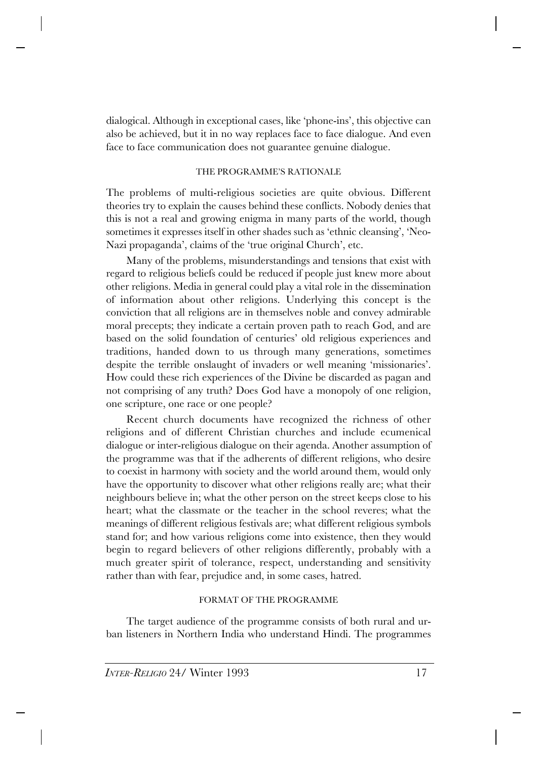dialogical. Although in exceptional cases, like 'phone-ins', this objective can also be achieved, but it in no way replaces face to face dialogue. And even face to face communication does not guarantee genuine dialogue.

## THE PROGRAMME'S RATIONALE

The problems of multi-religious societies are quite obvious. Different theories try to explain the causes behind these conflicts. Nobody denies that this is not a real and growing enigma in many parts of the world, though sometimes it expresses itself in other shades such as 'ethnic cleansing', 'Neo-Nazi propaganda', claims of the 'true original Church', etc.

Many of the problems, misunderstandings and tensions that exist with regard to religious beliefs could be reduced if people just knew more about other religions. Media in general could play a vital role in the dissemination of information about other religions. Underlying this concept is the conviction that all religions are in themselves noble and convey admirable moral precepts; they indicate a certain proven path to reach God, and are based on the solid foundation of centuries' old religious experiences and traditions, handed down to us through many generations, sometimes despite the terrible onslaught of invaders or well meaning 'missionaries'. How could these rich experiences of the Divine be discarded as pagan and not comprising of any truth? Does God have a monopoly of one religion, one scripture, one race or one people?

Recent church documents have recognized the richness of other religions and of different Christian churches and include ecumenical dialogue or inter-religious dialogue on their agenda. Another assumption of the programme was that if the adherents of different religions, who desire to coexist in harmony with society and the world around them, would only have the opportunity to discover what other religions really are; what their neighbours believe in; what the other person on the street keeps close to his heart; what the classmate or the teacher in the school reveres; what the meanings of different religious festivals are; what different religious symbols stand for; and how various religions come into existence, then they would begin to regard believers of other religions differently, probably with a much greater spirit of tolerance, respect, understanding and sensitivity rather than with fear, prejudice and, in some cases, hatred.

# FORMAT OF THE PROGRAMME

The target audience of the programme consists of both rural and urban listeners in Northern India who understand Hindi. The programmes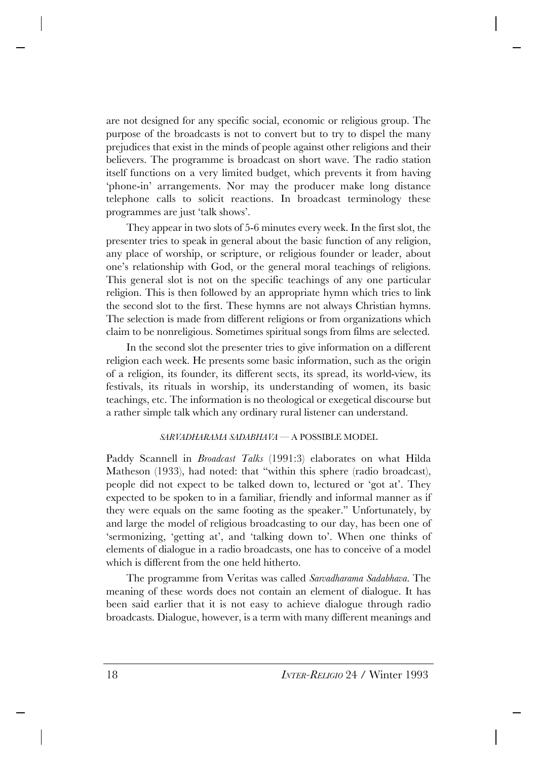are not designed for any specific social, economic or religious group. The purpose of the broadcasts is not to convert but to try to dispel the many prejudices that exist in the minds of people against other religions and their believers. The programme is broadcast on short wave. The radio station itself functions on a very limited budget, which prevents it from having 'phone-in' arrangements. Nor may the producer make long distance telephone calls to solicit reactions. In broadcast terminology these programmes are just 'talk shows'.

They appear in two slots of 5-6 minutes every week. In the first slot, the presenter tries to speak in general about the basic function of any religion, any place of worship, or scripture, or religious founder or leader, about one's relationship with God, or the general moral teachings of religions. This general slot is not on the specific teachings of any one particular religion. This is then followed by an appropriate hymn which tries to link the second slot to the first. These hymns are not always Christian hymns. The selection is made from different religions or from organizations which claim to be nonreligious. Sometimes spiritual songs from films are selected.

In the second slot the presenter tries to give information on a different religion each week. He presents some basic information, such as the origin of a religion, its founder, its different sects, its spread, its world-view, its festivals, its rituals in worship, its understanding of women, its basic teachings, etc. The information is no theological or exegetical discourse but a rather simple talk which any ordinary rural listener can understand.

### *SARVADHARAMA SADABHAVA* — A POSSIBLE MODEL

Paddy Scannell in *Broadcast Talks* (1991:3) elaborates on what Hilda Matheson (1933), had noted: that "within this sphere (radio broadcast), people did not expect to be talked down to, lectured or 'got at'. They expected to be spoken to in a familiar, friendly and informal manner as if they were equals on the same footing as the speaker." Unfortunately, by and large the model of religious broadcasting to our day, has been one of 'sermonizing, 'getting at', and 'talking down to'. When one thinks of elements of dialogue in a radio broadcasts, one has to conceive of a model which is different from the one held hitherto.

The programme from Veritas was called *Sarvadharama Sadabhava.* The meaning of these words does not contain an element of dialogue. It has been said earlier that it is not easy to achieve dialogue through radio broadcasts. Dialogue, however, is a term with many different meanings and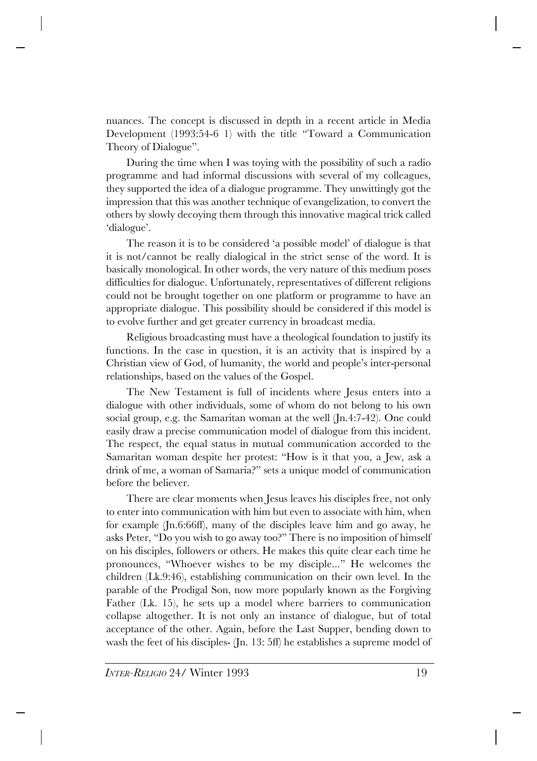nuances. The concept is discussed in depth in a recent article in Media Development (1993:54-6 1) with the title "Toward a Communication Theory of Dialogue".

During the time when I was toying with the possibility of such a radio programme and had informal discussions with several of my colleagues, they supported the idea of a dialogue programme. They unwittingly got the impression that this was another technique of evangelization, to convert the others by slowly decoying them through this innovative magical trick called 'dialogue'.

The reason it is to be considered 'a possible model' of dialogue is that it is not/cannot be really dialogical in the strict sense of the word. It is basically monological. In other words, the very nature of this medium poses difficulties for dialogue. Unfortunately, representatives of different religions could not be brought together on one platform or programme to have an appropriate dialogue. This possibility should be considered if this model is to evolve further and get greater currency in broadcast media.

Religious broadcasting must have a theological foundation to justify its functions. In the case in question, it is an activity that is inspired by a Christian view of God, of humanity, the world and people's inter-personal relationships, based on the values of the Gospel.

The New Testament is full of incidents where Jesus enters into a dialogue with other individuals, some of whom do not belong to his own social group, e.g. the Samaritan woman at the well (Jn.4:7-42). One could easily draw a precise communication model of dialogue from this incident. The respect, the equal status in mutual communication accorded to the Samaritan woman despite her protest: "How is it that you, a Jew, ask a drink of me, a woman of Samaria?" sets a unique model of communication before the believer.

There are clear moments when Jesus leaves his disciples free, not only to enter into communication with him but even to associate with him, when for example (Jn.6:66ff), many of the disciples leave him and go away, he asks Peter, "Do you wish to go away too?" There is no imposition of himself on his disciples, followers or others. He makes this quite clear each time he pronounces, "Whoever wishes to be my disciple..." He welcomes the children (Lk.9:46), establishing communication on their own level. In the parable of the Prodigal Son, now more popularly known as the Forgiving Father (Lk. 15), he sets up a model where barriers to communication collapse altogether. It is not only an instance of dialogue, but of total acceptance of the other. Again, before the Last Supper, bending down to wash the feet of his disciples- (Jn. 13: 5ff) he establishes a supreme model of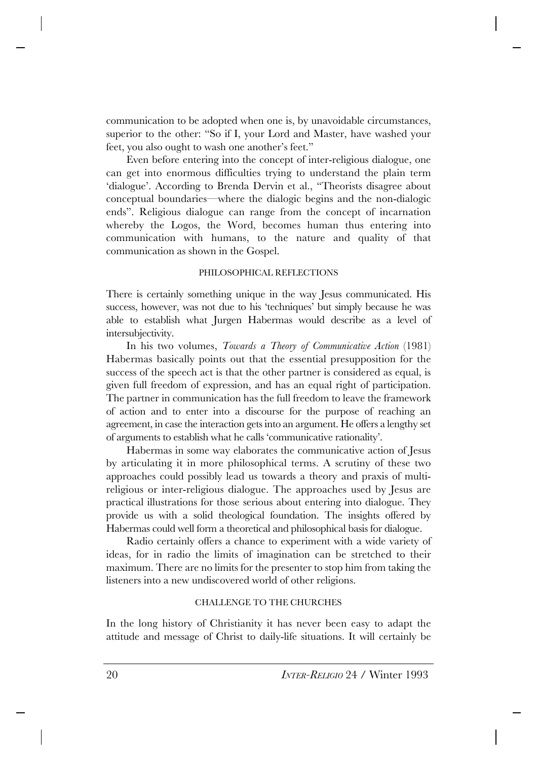communication to be adopted when one is, by unavoidable circumstances, superior to the other: "So if I, your Lord and Master, have washed your feet, you also ought to wash one another's feet."

Even before entering into the concept of inter-religious dialogue, one can get into enormous difficulties trying to understand the plain term 'dialogue'. According to Brenda Dervin et al., "Theorists disagree about conceptual boundaries—where the dialogic begins and the non-dialogic ends". Religious dialogue can range from the concept of incarnation whereby the Logos, the Word, becomes human thus entering into communication with humans, to the nature and quality of that communication as shown in the Gospel.

### PHILOSOPHICAL REFLECTIONS

There is certainly something unique in the way Jesus communicated. His success, however, was not due to his 'techniques' but simply because he was able to establish what Jurgen Habermas would describe as a level of intersubjectivity.

In his two volumes, *Towards a Theory of Communicative Action* (1981) Habermas basically points out that the essential presupposition for the success of the speech act is that the other partner is considered as equal, is given full freedom of expression, and has an equal right of participation. The partner in communication has the full freedom to leave the framework of action and to enter into a discourse for the purpose of reaching an agreement, in case the interaction gets into an argument. He offers a lengthy set of arguments to establish what he calls 'communicative rationality'.

Habermas in some way elaborates the communicative action of Jesus by articulating it in more philosophical terms. A scrutiny of these two approaches could possibly lead us towards a theory and praxis of multireligious or inter-religious dialogue. The approaches used by Jesus are practical illustrations for those serious about entering into dialogue. They provide us with a solid theological foundation. The insights offered by Habermas could well form a theoretical and philosophical basis for dialogue.

Radio certainly offers a chance to experiment with a wide variety of ideas, for in radio the limits of imagination can be stretched to their maximum. There are no limits for the presenter to stop him from taking the listeners into a new undiscovered world of other religions.

### CHALLENGE TO THE CHURCHES

In the long history of Christianity it has never been easy to adapt the attitude and message of Christ to daily-life situations. It will certainly be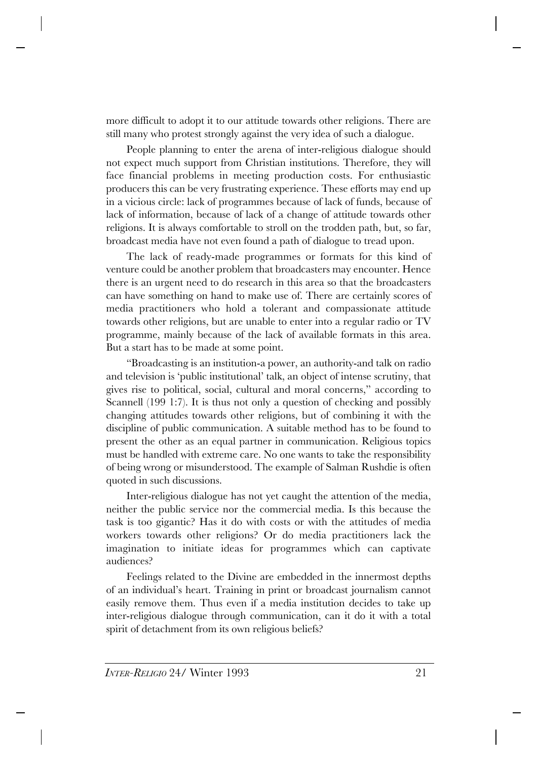more difficult to adopt it to our attitude towards other religions. There are still many who protest strongly against the very idea of such a dialogue.

People planning to enter the arena of inter-religious dialogue should not expect much support from Christian institutions. Therefore, they will face financial problems in meeting production costs. For enthusiastic producers this can be very frustrating experience. These efforts may end up in a vicious circle: lack of programmes because of lack of funds, because of lack of information, because of lack of a change of attitude towards other religions. It is always comfortable to stroll on the trodden path, but, so far, broadcast media have not even found a path of dialogue to tread upon.

The lack of ready-made programmes or formats for this kind of venture could be another problem that broadcasters may encounter. Hence there is an urgent need to do research in this area so that the broadcasters can have something on hand to make use of. There are certainly scores of media practitioners who hold a tolerant and compassionate attitude towards other religions, but are unable to enter into a regular radio or TV programme, mainly because of the lack of available formats in this area. But a start has to be made at some point.

"Broadcasting is an institution-a power, an authority-and talk on radio and television is 'public institutional' talk, an object of intense scrutiny, that gives rise to political, social, cultural and moral concerns," according to Scannell (199 1:7). It is thus not only a question of checking and possibly changing attitudes towards other religions, but of combining it with the discipline of public communication. A suitable method has to be found to present the other as an equal partner in communication. Religious topics must be handled with extreme care. No one wants to take the responsibility of being wrong or misunderstood. The example of Salman Rushdie is often quoted in such discussions.

Inter-religious dialogue has not yet caught the attention of the media, neither the public service nor the commercial media. Is this because the task is too gigantic? Has it do with costs or with the attitudes of media workers towards other religions? Or do media practitioners lack the imagination to initiate ideas for programmes which can captivate audiences?

Feelings related to the Divine are embedded in the innermost depths of an individual's heart. Training in print or broadcast journalism cannot easily remove them. Thus even if a media institution decides to take up inter-religious dialogue through communication, can it do it with a total spirit of detachment from its own religious beliefs?